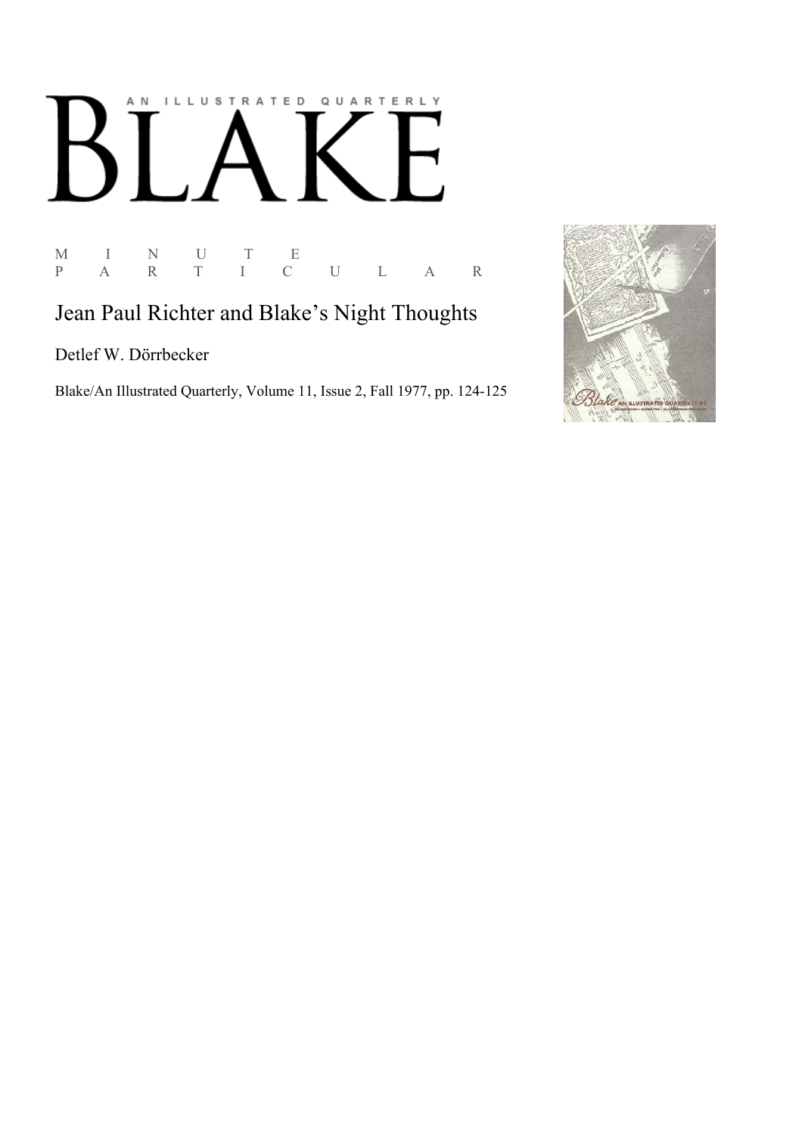## AN ILLUSTRATED QUARTERLY  $\overline{L}$  $\bf{B}$

M I N U T E P A R T I C U L A R

## Jean Paul Richter and Blake's Night Thoughts

Detlef W. Dörrbecker

Blake/An Illustrated Quarterly, Volume 11, Issue 2, Fall 1977, pp. 124-125

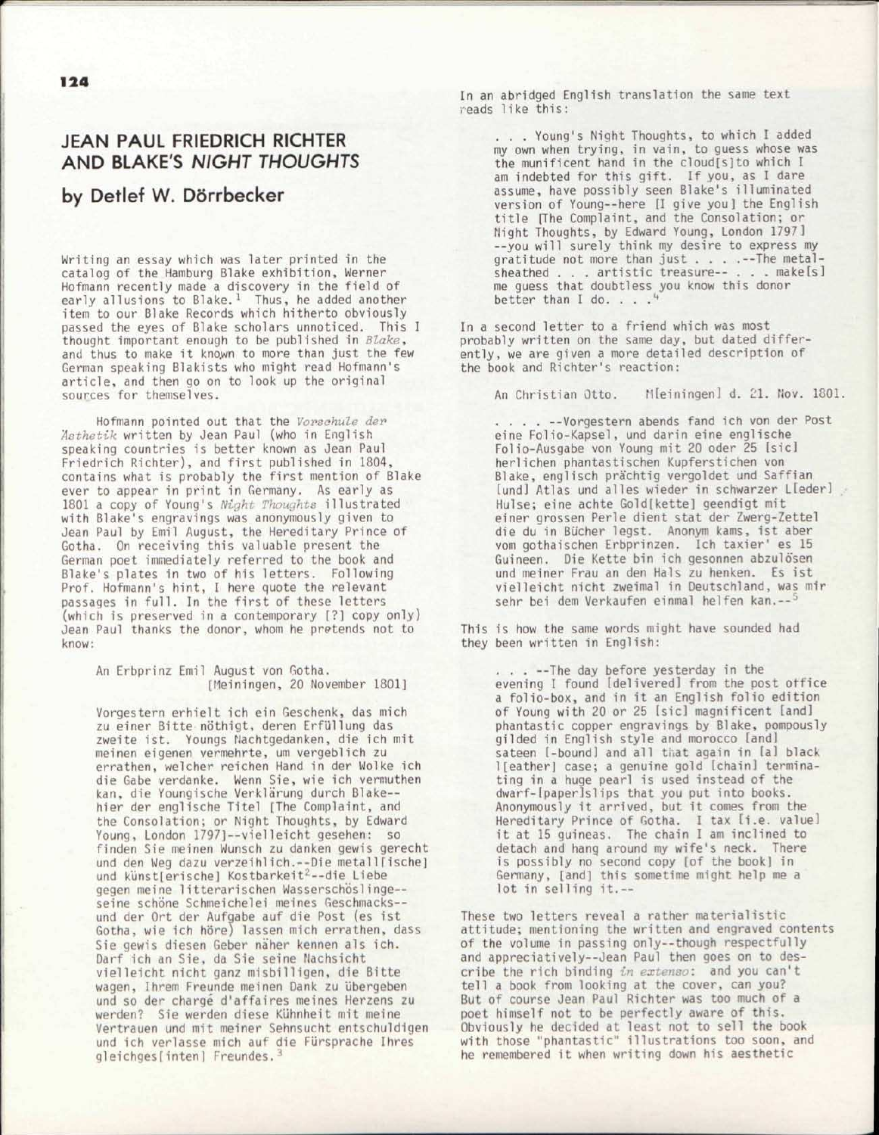## JEAN PAUL FRIEDRICH RICHTER AND BLAKE'S *NIGHT THOUGHTS*

## by Detlef W. D6rrbecker

Writing an essay which was later printed in the catalog of the Hamburg Blake exhibition, Werner Hofmann recently made a discovery in the field of early allusions to Blake.<sup>1</sup> Thus, he added another item to our Blake Records which hitherto obviously passed the eyes of Blake scholars unnoticed. This I thought important enough to be published in *Blake,*  and thus to make it known to more than just the few German speaking Blakists who might read Hofmann's article, and then go on to look up the original sources for themselves.

Hofmann pointed out that the *Vorsahule der 'Asthetik* written by Jean Paul (who in English speaking countries is better known as Jean Paul Friedrich Richter), and first published in 1804, contains what is probably the first mention of Blake ever to appear in print in Germany. As early as 1801 a copy of Young's *Night Thoughts* illustrated with Blake's engravings was anonymously given to Jean Paul by Emil August, the Hereditary Prince of Gotha. On receiving this valuable present the German poet immediately referred to the book and Blake's plates in two of his letters. Following Prof. Hofmann's hint, I here quote the relevant passages in full. In the first of these letters (which is preserved in a contemporary [?] copy only) Jean Paul thanks the donor, whom he pretends not to know:

An Erbprinz Emil August von Gotha. [Meiningen, 20 November 1801]

Vorgestern erhielt ich ein Geschenk, das mich zu einer Bitte nöthigt, deren Erfüllung das zweite ist. Youngs Nachtgedanken, die ich mit meinen eigenen vermehrte, um vergeblich zu errathen, welcher reichen Hand in der Wolke ich die Gabe verdanke. Wenn Sie, wie ich vermuthen kan, die Youngische Verklarung durch Blake hier der englische Titel [The Complaint, and the Consolation; or Night Thoughts, by Edward Young, London 1797]--vielleicht gesehen: so finden Sie meinen Wunsch zu danken gewis gerecht und den Weg dazu verzeihlich.--Die metall[ische] und künst[erische] Kostbarkeit<sup>2</sup>--die Liebe gegen meine litterarischen Wasserschöslinge-seine schöne Schmeichelei meines Geschmacks -und der Ort der Aufgabe auf die Post (es ist Gotha, wie ich höre) lassen mich errathen, dass Sie gewis diesen Geber naher kennen als ich. Darf ich an Sie, da Sie seine Nachsicht vielleicht nicht ganz misbilligen, die Bitte wagen, Ihrem Freunde meinen Dank zu übergeben und so der charge d'affaires meines Herzens zu werden? Sie werden diese Kuhnheit mit meine Vertrauen und mit meiner Sehnsucht entschuldigen und ich verlasse mich auf die Fursprache Ihres gleichges[inten] Freundes.<sup>3</sup>

In an abridged English translation the same text reads like this:

. . . Young's Night Thoughts, to which I added my own when trying, in vain, to guess whose was the munificent hand in the cloud[s]to which I am indebted for this gift. If you, as I dare assume, have possibly seen Blake's illuminated version of Young--here [I give you] the English title [The Complaint, and the Consolation; or Night Thoughts, by Edward Young, London 1797] --you will surely think my desire to express my gratitude not more than just . . . .--The metalsheathed . . . artistic treasure-- . . . makelsl me guess that doubtless you know this donor better than  $I$  do.  $\ldots$ .  $\ddots$ 

In a second letter to a friend which was most probably written on the same day, but dated differently, we are given a more detailed description of the book and Richter's reaction:

An Christian Otto. Meiningen] d. 21. Nov. 1801.

... . --Vorgestern abends fand ich von der Post eine Folio-Kapsel, und darin eine englische Folio-Ausgabe von Young mit 20 oder 25 [sic] herlichen phantastischen Kupferstichen von Blake, englisch prachtig vergoldet und Saffian [und] Atlas und alles wieder in schwarzer Lleder] Hulse; eine achte Gold[kette] geendigt mit einer grossen Perle dient stat der Zwerg-Zettel die du in Bu'cher legst. Anonym kams, ist aber vom gothaischen Erbprinzen. Ich taxier' es 15 Guineen. Die Kette bin ich gesonnen abzulosen und meiner Frau an den Hals zu henken. Es ist vielleicht nicht zweimal in Deutschland, was mir sehr bei dem Verkaufen einmal helfen kan.--<sup>5</sup>

This is how the same words might have sounded had they been written in English:

> . . . --The day before yesterday in the evening I found [delivered] from the post office a folio-box, and in it an English folio edition of Young with 20 or 25 [sic] magnificent [and] phantastic copper engravings by Blake, pompously gilded in English style and morocco [and] sateen [-bound] and all that again in [a] black l[eather] case; a genuine gold [chain] terminating in a huge pearl is used instead of the dwarf-[paper]slips that you put into books. Anonymously it arrived, but it comes from the Hereditary Prince of Gotha. I tax [i.e. value] it at 15 guineas. The chain I am inclined to detach and hang around my wife's neck. There is possibly no second copy [of the book] in Germany, [and] this sometime might help me a lot in selling it.--

These two letters reveal a rather materialistic attitude; mentioning the written and engraved contents of the volume in passing only—though respectfully and appreciatively—Jean Paul then goes on to describe the rich binding *in extenso:* and you can't tell a book from looking at the cover, can you? But of course Jean Paul Richter was too much of a poet himself not to be perfectly aware of this. Obviously he decided at least not to sell the book with those "phantastic" illustrations too soon, and he remembered it when writing down his aesthetic